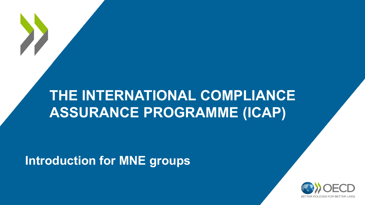### **THE INTERNATIONAL COMPLIANCE ASSURANCE PROGRAMME (ICAP)**

**Introduction for MNE groups**

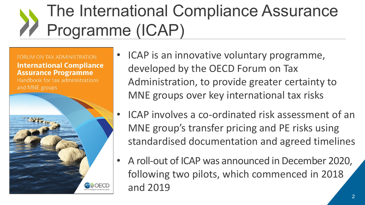### The International Compliance Assurance Programme (ICAP)

FORUM ON TAX ADMINISTRATION **International Compliance Assurance Programme** Handbook for tax administrations **BELO** 

- ICAP is an innovative voluntary programme, developed by the OECD Forum on Tax Administration, to provide greater certainty to MNE groups over key international tax risks
- ICAP involves a co-ordinated risk assessment of an MNE group's transfer pricing and PE risks using standardised documentation and agreed timelines
- A roll-out of ICAP was announced in December 2020, following two pilots, which commenced in 2018 and 2019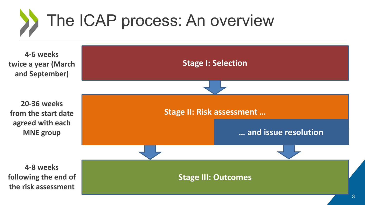# The ICAP process: An overview

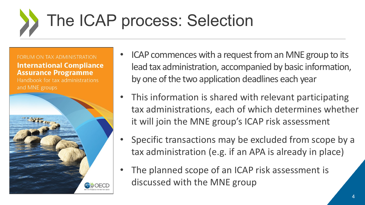# The ICAP process: Selection



- ICAP commences with a request from an MNE group to its lead tax administration, accompanied by basic information, by one of the two application deadlines each year
- This information is shared with relevant participating tax administrations, each of which determines whether it will join the MNE group's ICAP risk assessment
- Specific transactions may be excluded from scope by a tax administration (e.g. if an APA is already in place)
- The planned scope of an ICAP risk assessment is discussed with the MNE group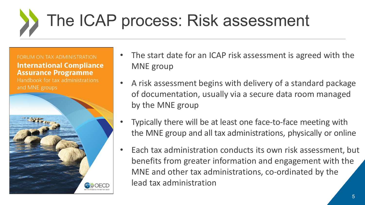# The ICAP process: Risk assessment



- The start date for an ICAP risk assessment is agreed with the MNE group
- A risk assessment begins with delivery of a standard package of documentation, usually via a secure data room managed by the MNE group
- Typically there will be at least one face-to-face meeting with the MNE group and all tax administrations, physically or online
- Each tax administration conducts its own risk assessment, but benefits from greater information and engagement with the MNE and other tax administrations, co-ordinated by the lead tax administration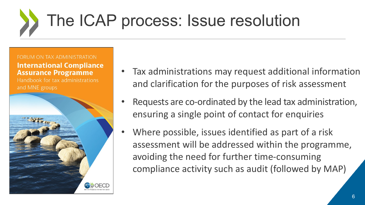# The ICAP process: Issue resolution

FORUM ON TAX ADMINISTRATION

**International Compliance Assurance Programme** 

Handbook for tax administrations



- Tax administrations may request additional information and clarification for the purposes of risk assessment
- Requests are co-ordinated by the lead tax administration, ensuring a single point of contact for enquiries
- Where possible, issues identified as part of a risk assessment will be addressed within the programme, avoiding the need for further time-consuming compliance activity such as audit (followed by MAP)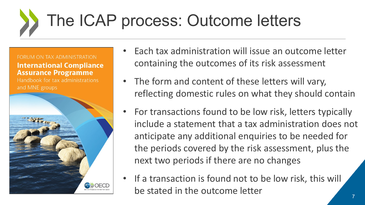## The ICAP process: Outcome letters



- Each tax administration will issue an outcome letter containing the outcomes of its risk assessment
- The form and content of these letters will vary, reflecting domestic rules on what they should contain
- For transactions found to be low risk, letters typically include a statement that a tax administration does not anticipate any additional enquiries to be needed for the periods covered by the risk assessment, plus the next two periods if there are no changes
- If a transaction is found not to be low risk, this will be stated in the outcome letter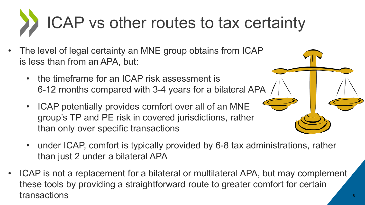# ICAP vs other routes to tax certainty

- The level of legal certainty an MNE group obtains from ICAP is less than from an APA, but:
	- the timeframe for an ICAP risk assessment is 6-12 months compared with 3-4 years for a bilateral APA
	- ICAP potentially provides comfort over all of an MNE group's TP and PE risk in covered jurisdictions, rather than only over specific transactions
	- under ICAP, comfort is typically provided by 6-8 tax administrations, rather than just 2 under a bilateral APA
- ICAP is not a replacement for a bilateral or multilateral APA, but may complement these tools by providing a straightforward route to greater comfort for certain transactions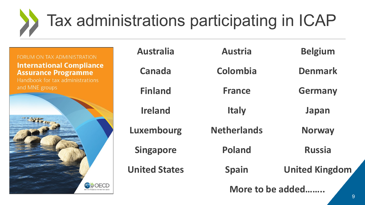# Tax administrations participating in ICAP

FORUM ON TAX ADMINISTRATION **International Compliance Assurance Programme** Handbook for tax administrations **OB** DECD

| <b>Australia</b>     | <b>Austria</b>     | <b>Belgium</b>        |
|----------------------|--------------------|-----------------------|
| Canada               | Colombia           | <b>Denmark</b>        |
| <b>Finland</b>       | <b>France</b>      | <b>Germany</b>        |
| <b>Ireland</b>       | <b>Italy</b>       | Japan                 |
| Luxembourg           | <b>Netherlands</b> | <b>Norway</b>         |
| <b>Singapore</b>     | <b>Poland</b>      | <b>Russia</b>         |
| <b>United States</b> | <b>Spain</b>       | <b>United Kingdom</b> |
|                      |                    | More to be added      |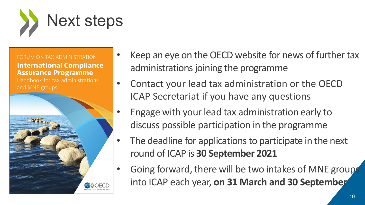



- Keep an eye on the OECD website for news of further tax administrations joining the programme
- Contact your lead tax administration or the OECD ICAP Secretariat if you have any questions
- Engage with your lead tax administration early to discuss possible participation in the programme
- The deadline for applications to participate in the next round of ICAP is **30 September 2021**
- Going forward, there will be two intakes of MNE groups into ICAP each year, **on 31 March and 30 September**